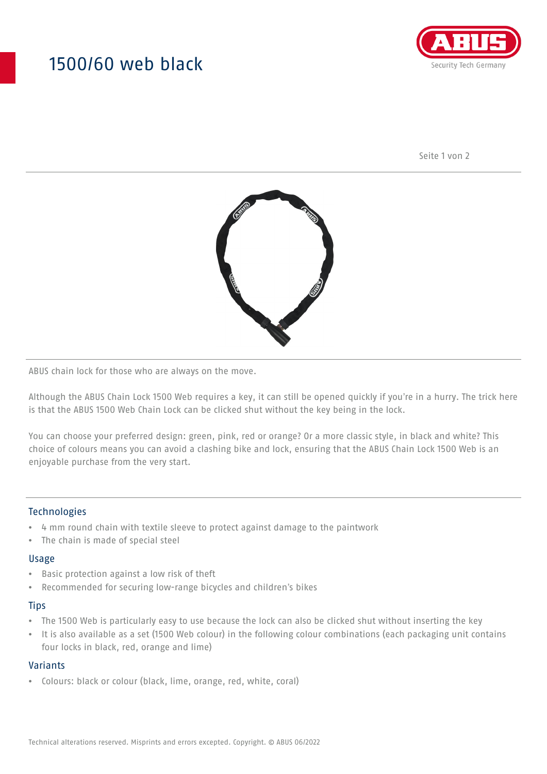# 1500/60 web black



Seite 1 von 2



ABUS chain lock for those who are always on the move.

Although the ABUS Chain Lock 1500 Web requires a key, it can still be opened quickly if you're in a hurry. The trick here is that the ABUS 1500 Web Chain Lock can be clicked shut without the key being in the lock.

You can choose your preferred design: green, pink, red or orange? Or a more classic style, in black and white? This choice of colours means you can avoid a clashing bike and lock, ensuring that the ABUS Chain Lock 1500 Web is an enjoyable purchase from the very start.

### **Technologies**

- 4 mm round chain with textile sleeve to protect against damage to the paintwork
- The chain is made of special steel

#### Usage

- Basic protection against a low risk of theft
- Recommended for securing low-range bicycles and children's bikes

#### **Tips**

- The 1500 Web is particularly easy to use because the lock can also be clicked shut without inserting the key
- It is also available as a set (1500 Web colour) in the following colour combinations (each packaging unit contains four locks in black, red, orange and lime)

### Variants

• Colours: black or colour (black, lime, orange, red, white, coral)